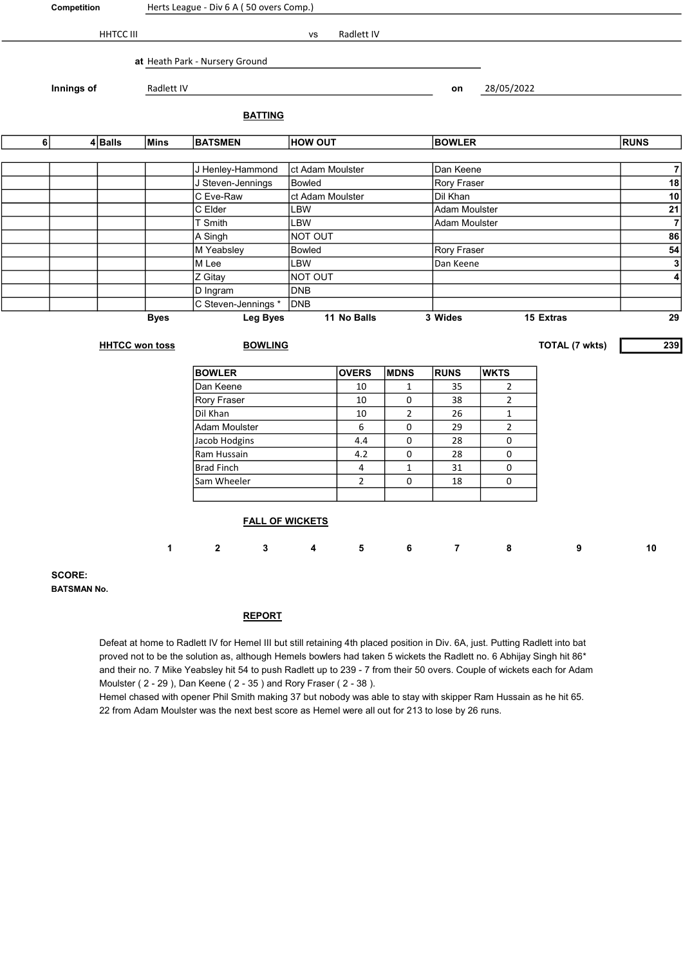|   | Competition<br><b>HHTCC III</b> |                       | Herts League - Div 6 A (50 overs Comp.) |                         | <b>VS</b>                  | Radlett IV     |                |                                |                |                       |             |                |
|---|---------------------------------|-----------------------|-----------------------------------------|-------------------------|----------------------------|----------------|----------------|--------------------------------|----------------|-----------------------|-------------|----------------|
|   |                                 |                       | at Heath Park - Nursery Ground          |                         |                            |                |                |                                |                |                       |             |                |
|   | Innings of                      | Radlett IV            |                                         |                         |                            |                |                |                                | 28/05/2022     |                       |             |                |
|   |                                 |                       |                                         | <b>BATTING</b>          |                            |                |                |                                |                |                       |             |                |
| 6 | $4 $ Balls                      | <b>Mins</b>           | <b>BATSMEN</b>                          |                         | <b>HOW OUT</b>             |                |                | <b>BOWLER</b>                  |                |                       | <b>RUNS</b> |                |
|   |                                 |                       |                                         |                         |                            |                |                |                                |                |                       |             |                |
|   |                                 |                       | J Henley-Hammond                        |                         | ct Adam Moulster<br>Bowled |                |                | Dan Keene                      |                |                       |             | $\overline{7}$ |
|   |                                 |                       | J Steven-Jennings                       | Rory Fraser<br>Dil Khan |                            |                |                |                                |                | 18                    |             |                |
|   |                                 |                       | C Eve-Raw                               |                         | ct Adam Moulster           |                |                |                                |                |                       | 10<br>21    |                |
|   |                                 |                       | C Elder<br>LBW<br>T Smith<br>LBW        |                         |                            |                |                | Adam Moulster<br>Adam Moulster |                |                       |             | $\overline{7}$ |
|   |                                 |                       | A Singh                                 | NOT OUT                 |                            |                |                |                                |                |                       | 86          |                |
|   |                                 |                       | M Yeabsley                              |                         | Bowled                     |                |                | Rory Fraser                    |                |                       |             | 54             |
|   |                                 | M Lee                 |                                         |                         | LBW                        |                |                | Dan Keene                      |                |                       |             | 3              |
|   |                                 |                       | Z Gitay                                 |                         | NOT OUT<br><b>DNB</b>      |                |                |                                |                |                       |             | 4              |
|   |                                 |                       | D Ingram                                |                         |                            |                |                |                                |                |                       |             |                |
|   |                                 |                       | C Steven-Jennings *                     |                         | <b>DNB</b>                 |                |                |                                |                |                       |             |                |
|   |                                 | <b>Byes</b>           |                                         | <b>Leg Byes</b>         |                            | 11 No Balls    |                | 3 Wides                        |                | 15 Extras             |             | 29             |
|   |                                 |                       |                                         |                         |                            |                |                |                                |                |                       |             |                |
|   |                                 | <b>HHTCC won toss</b> |                                         | <b>BOWLING</b>          |                            |                |                |                                |                | <b>TOTAL (7 wkts)</b> |             | 239            |
|   |                                 |                       | <b>BOWLER</b>                           |                         |                            | <b>OVERS</b>   | <b>MDNS</b>    | <b>RUNS</b>                    | <b>WKTS</b>    |                       |             |                |
|   |                                 |                       | Dan Keene                               |                         |                            | 10             | $\mathbf{1}$   | 35                             | $\overline{2}$ |                       |             |                |
|   |                                 |                       | Rory Fraser                             |                         |                            | 10             | 0              | 38                             | $\overline{2}$ |                       |             |                |
|   |                                 |                       | Dil Khan                                |                         |                            | 10             | $\overline{2}$ | 26                             | $\mathbf{1}$   |                       |             |                |
|   |                                 |                       | Adam Moulster                           |                         |                            | 6              | 0              | 29                             | $\overline{2}$ |                       |             |                |
|   |                                 |                       | Jacob Hodgins                           |                         |                            | 4.4            | 0              | 28                             | 0              |                       |             |                |
|   |                                 |                       | Ram Hussain                             |                         |                            | 4.2            | 0              | 28                             | 0              |                       |             |                |
|   |                                 |                       | <b>Brad Finch</b>                       |                         |                            | 4              | $\mathbf{1}$   | 31                             | 0              |                       |             |                |
|   |                                 | Sam Wheeler           | $\overline{2}$<br>0                     |                         |                            |                | 18             | 0                              |                |                       |             |                |
|   |                                 |                       |                                         |                         | <b>FALL OF WICKETS</b>     |                |                |                                |                |                       |             |                |
|   |                                 | $\mathbf{1}$          | $\mathbf{2}$                            | $\mathbf{3}$            | $\overline{\mathbf{4}}$    | 5 <sub>5</sub> | 6              | $\overline{7}$                 | 8              | 9                     | 10          |                |
|   | <b>SCORE:</b>                   |                       |                                         |                         |                            |                |                |                                |                |                       |             |                |
|   | <b>BATSMAN No.</b>              |                       |                                         |                         |                            |                |                |                                |                |                       |             |                |
|   |                                 |                       |                                         | <b>REPORT</b>           |                            |                |                |                                |                |                       |             |                |

Defeat at home to Radlett IV for Hemel III but still retaining 4th placed position in Div. 6A, just. Putting Radlett into bat proved not to be the solution as, although Hemels bowlers had taken 5 wickets the Radlett no. 6 Abhijay Singh hit 86\* and their no. 7 Mike Yeabsley hit 54 to push Radlett up to 239 - 7 from their 50 overs. Couple of wickets each for Adam Moulster ( 2 - 29 ), Dan Keene ( 2 - 35 ) and Rory Fraser ( 2 - 38 ).

Hemel chased with opener Phil Smith making 37 but nobody was able to stay with skipper Ram Hussain as he hit 65. 22 from Adam Moulster was the next best score as Hemel were all out for 213 to lose by 26 runs.